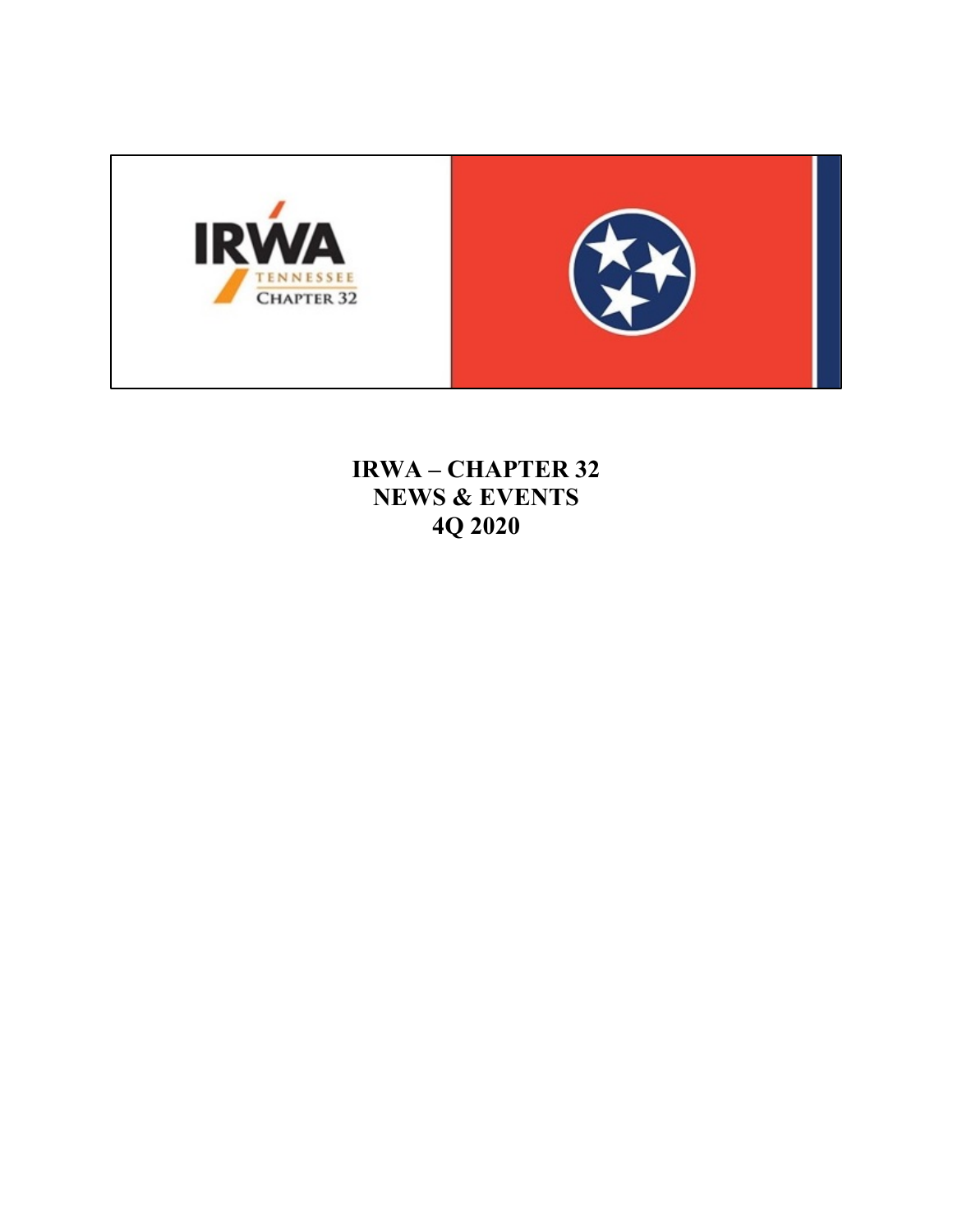

**IRWA - CHAPTER 32 NEWS & EVENTS** 4Q 2020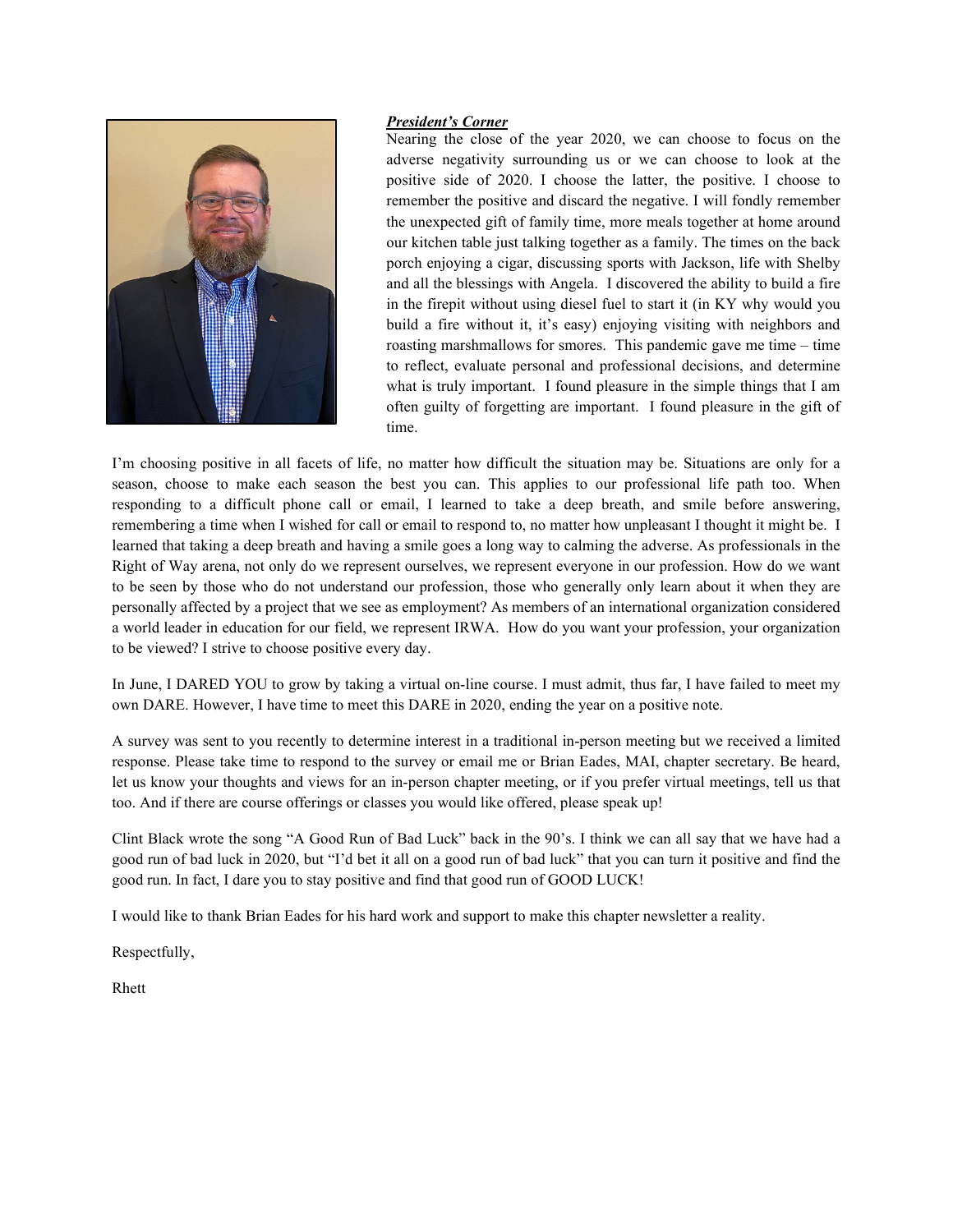

# *President's Corner*

Nearing the close of the year 2020, we can choose to focus on the adverse negativity surrounding us or we can choose to look at the positive side of 2020. I choose the latter, the positive. I choose to remember the positive and discard the negative. I will fondly remember the unexpected gift of family time, more meals together at home around our kitchen table just talking together as a family. The times on the back porch enjoying a cigar, discussing sports with Jackson, life with Shelby and all the blessings with Angela. I discovered the ability to build a fire in the firepit without using diesel fuel to start it (in KY why would you build a fire without it, it's easy) enjoying visiting with neighbors and roasting marshmallows for smores. This pandemic gave me time – time to reflect, evaluate personal and professional decisions, and determine what is truly important. I found pleasure in the simple things that I am often guilty of forgetting are important. I found pleasure in the gift of time.

I'm choosing positive in all facets of life, no matter how difficult the situation may be. Situations are only for a season, choose to make each season the best you can. This applies to our professional life path too. When responding to a difficult phone call or email, I learned to take a deep breath, and smile before answering, remembering a time when I wished for call or email to respond to, no matter how unpleasant I thought it might be. I learned that taking a deep breath and having a smile goes a long way to calming the adverse. As professionals in the Right of Way arena, not only do we represent ourselves, we represent everyone in our profession. How do we want to be seen by those who do not understand our profession, those who generally only learn about it when they are personally affected by a project that we see as employment? As members of an international organization considered a world leader in education for our field, we represent IRWA. How do you want your profession, your organization to be viewed? I strive to choose positive every day.

In June, I DARED YOU to grow by taking a virtual on-line course. I must admit, thus far, I have failed to meet my own DARE. However, I have time to meet this DARE in 2020, ending the year on a positive note.

A survey was sent to you recently to determine interest in a traditional in-person meeting but we received a limited response. Please take time to respond to the survey or email me or Brian Eades, MAI, chapter secretary. Be heard, let us know your thoughts and views for an in-person chapter meeting, or if you prefer virtual meetings, tell us that too. And if there are course offerings or classes you would like offered, please speak up!

Clint Black wrote the song "A Good Run of Bad Luck" back in the 90's. I think we can all say that we have had a good run of bad luck in 2020, but "I'd bet it all on a good run of bad luck" that you can turn it positive and find the good run. In fact, I dare you to stay positive and find that good run of GOOD LUCK!

I would like to thank Brian Eades for his hard work and support to make this chapter newsletter a reality.

Respectfully,

Rhett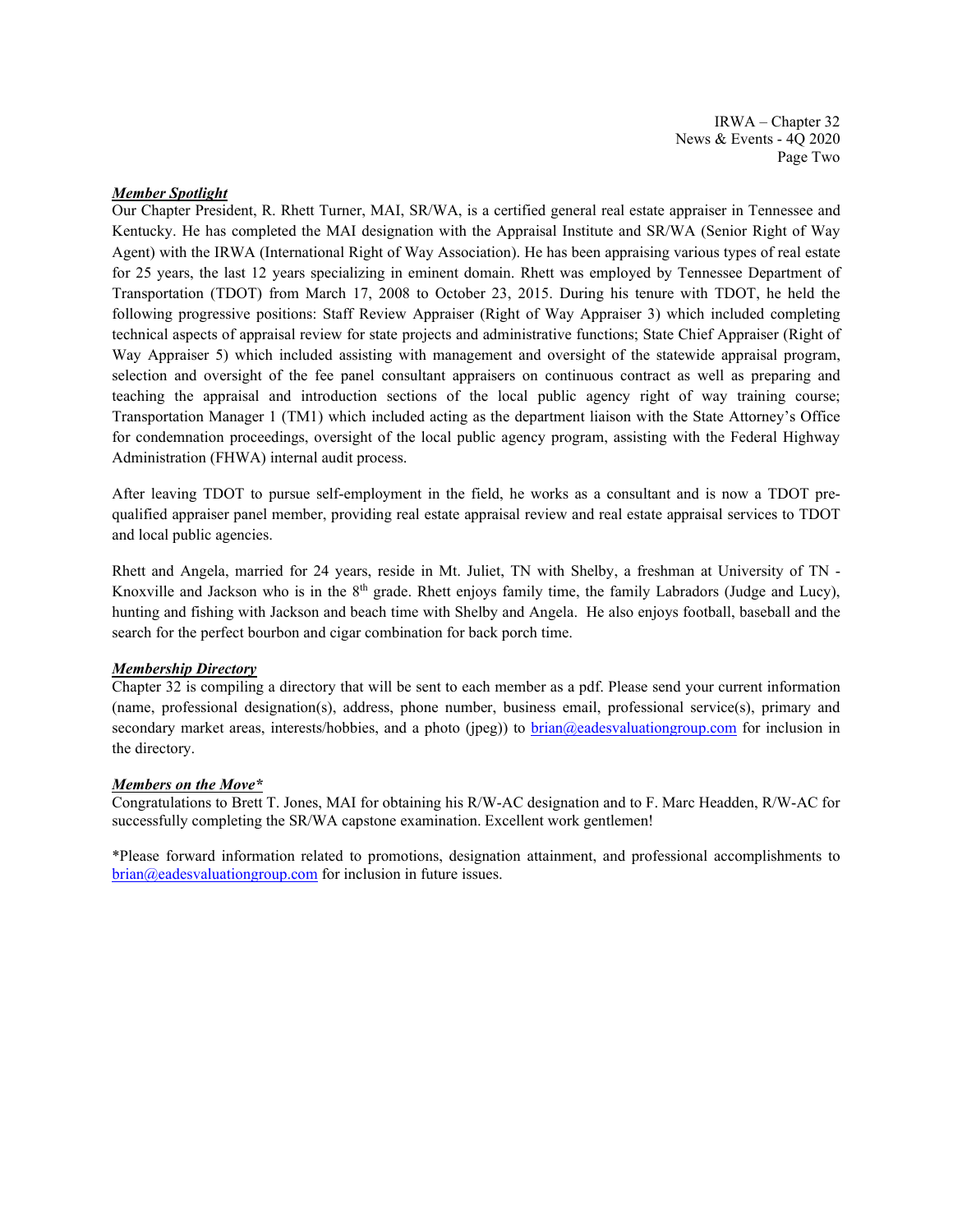IRWA – Chapter 32 News & Events - 4Q 2020 Page Two

# *Member Spotlight*

Our Chapter President, R. Rhett Turner, MAI, SR/WA, is a certified general real estate appraiser in Tennessee and Kentucky. He has completed the MAI designation with the Appraisal Institute and SR/WA (Senior Right of Way Agent) with the IRWA (International Right of Way Association). He has been appraising various types of real estate for 25 years, the last 12 years specializing in eminent domain. Rhett was employed by Tennessee Department of Transportation (TDOT) from March 17, 2008 to October 23, 2015. During his tenure with TDOT, he held the following progressive positions: Staff Review Appraiser (Right of Way Appraiser 3) which included completing technical aspects of appraisal review for state projects and administrative functions; State Chief Appraiser (Right of Way Appraiser 5) which included assisting with management and oversight of the statewide appraisal program, selection and oversight of the fee panel consultant appraisers on continuous contract as well as preparing and teaching the appraisal and introduction sections of the local public agency right of way training course; Transportation Manager 1 (TM1) which included acting as the department liaison with the State Attorney's Office for condemnation proceedings, oversight of the local public agency program, assisting with the Federal Highway Administration (FHWA) internal audit process.

After leaving TDOT to pursue self-employment in the field, he works as a consultant and is now a TDOT prequalified appraiser panel member, providing real estate appraisal review and real estate appraisal services to TDOT and local public agencies.

Rhett and Angela, married for 24 years, reside in Mt. Juliet, TN with Shelby, a freshman at University of TN - Knoxville and Jackson who is in the 8<sup>th</sup> grade. Rhett enjoys family time, the family Labradors (Judge and Lucy), hunting and fishing with Jackson and beach time with Shelby and Angela. He also enjoys football, baseball and the search for the perfect bourbon and cigar combination for back porch time.

## *Membership Directory*

Chapter 32 is compiling a directory that will be sent to each member as a pdf. Please send your current information (name, professional designation(s), address, phone number, business email, professional service(s), primary and secondary market areas, interests/hobbies, and a photo (jpeg)) to **brian@eadesvaluationgroup.com** for inclusion in the directory.

### *Members on the Move\**

Congratulations to Brett T. Jones, MAI for obtaining his R/W-AC designation and to F. Marc Headden, R/W-AC for successfully completing the SR/WA capstone examination. Excellent work gentlemen!

\*Please forward information related to promotions, designation attainment, and professional accomplishments to [brian@eadesvaluationgroup.com](mailto:brian@eadesvaluationgroup.com) for inclusion in future issues.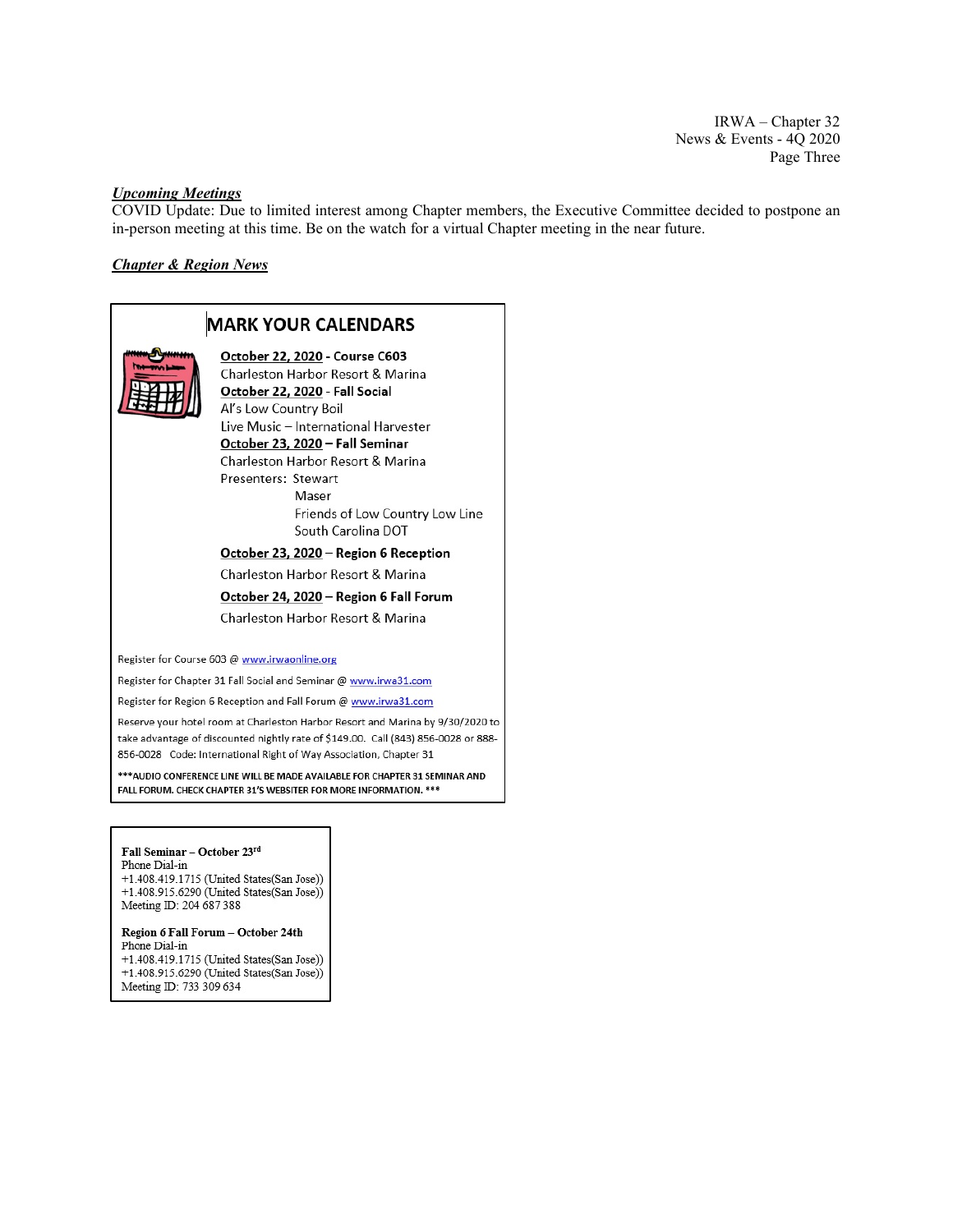IRWA – Chapter 32 News & Events - 4Q 2020 Page Three

# *Upcoming Meetings*

COVID Update: Due to limited interest among Chapter members, the Executive Committee decided to postpone an in-person meeting at this time. Be on the watch for a virtual Chapter meeting in the near future.

# *Chapter & Region News*

# **MARK YOUR CALENDARS** October 22, 2020 - Course C603 Charleston Harbor Resort & Marina October 22, 2020 - Fall Social Al's Low Country Boil Live Music - International Harvester October 23, 2020 - Fall Seminar Charleston Harbor Resort & Marina Presenters: Stewart Maser Friends of Low Country Low Line South Carolina DOT October 23, 2020 - Region 6 Reception Charleston Harbor Resort & Marina October 24, 2020 - Region 6 Fall Forum Charleston Harbor Resort & Marina Register for Course 603 @ www.irwaonline.org Register for Chapter 31 Fall Social and Seminar @ www.irwa31.com Register for Region 6 Reception and Fall Forum @ www.irwa31.com Reserve your hotel room at Charleston Harbor Resort and Marina by 9/30/2020 to take advantage of discounted nightly rate of \$149.00. Call (843) 856-0028 or 888-856-0028 Code: International Right of Way Association, Chapter 31 \*\*\* AUDIO CONFERENCE LINE WILL BE MADE AVAILABLE FOR CHAPTER 31 SEMINAR AND FALL FORUM. CHECK CHAPTER 31'S WEBSITER FOR MORE INFORMATION. \*\*\* Fall Seminar - October 23rd Phone Dial-in

+1.408.419.1715 (United States(San Jose)) +1.408.915.6290 (United States (San Jose)) Meeting ID: 204 687 388

#### Region 6 Fall Forum - October 24th Phone Dial-in

+1.408.419.1715 (United States(San Jose)) +1.408.915.6290 (United States(San Jose)) Meeting ID: 733 309 634